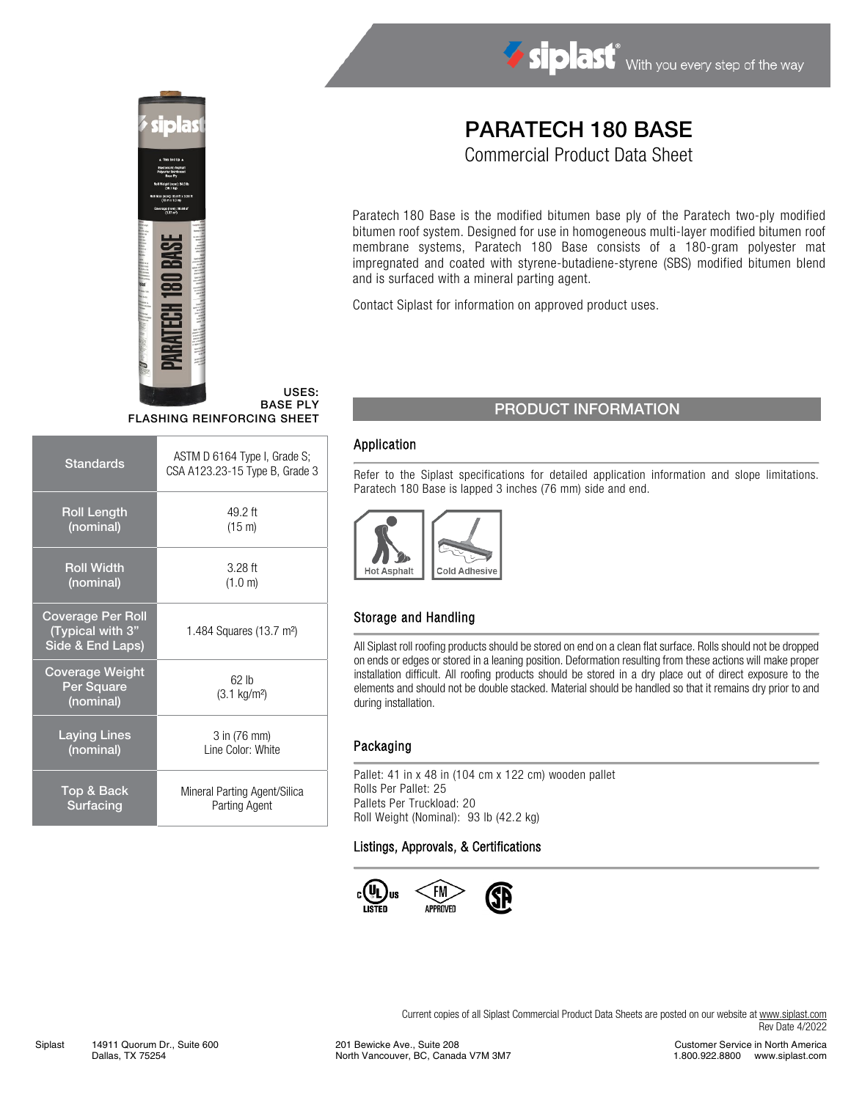

USES: BASE PLY FLASHING REINFORCING SHEET

| Standards                                                        | ASTM D 6164 Type I, Grade S;<br>CSA A123.23-15 Type B, Grade 3 |  |  |
|------------------------------------------------------------------|----------------------------------------------------------------|--|--|
| <b>Roll Length</b>                                               | 49.2 ft                                                        |  |  |
| (nominal)                                                        | $(15 \text{ m})$                                               |  |  |
| <b>Roll Width</b>                                                | $3.28$ ft                                                      |  |  |
| (nominal)                                                        | (1.0 m)                                                        |  |  |
| <b>Coverage Per Roll</b><br>(Typical with 3"<br>Side & End Laps) | 1.484 Squares (13.7 m <sup>2</sup> )                           |  |  |
| <b>Coverage Weight</b><br>Per Square<br>(nominal)                | 62 lb<br>$(3.1 \text{ kg/m}^2)$                                |  |  |
| <b>Laying Lines</b>                                              | 3 in (76 mm)                                                   |  |  |
| (nominal)                                                        | Line Color: White                                              |  |  |
| Top & Back                                                       | Mineral Parting Agent/Silica                                   |  |  |
| Surfacing                                                        | Parting Agent                                                  |  |  |

# PARATECH 180 BASE

Siplast With you every step of the way

Commercial Product Data Sheet

Paratech 180 Base is the modified bitumen base ply of the Paratech two-ply modified bitumen roof system. Designed for use in homogeneous multi-layer modified bitumen roof membrane systems, Paratech 180 Base consists of a 180-gram polyester mat impregnated and coated with styrene-butadiene-styrene (SBS) modified bitumen blend and is surfaced with a mineral parting agent.

Contact Siplast for information on approved product uses.

### PRODUCT INFORMATION

#### Application

Refer to the Siplast specifications for detailed application information and slope limitations. Paratech 180 Base is lapped 3 inches (76 mm) side and end.



#### Storage and Handling

All Siplast roll roofing products should be stored on end on a clean flat surface. Rolls should not be dropped on ends or edges or stored in a leaning position. Deformation resulting from these actions will make proper installation difficult. All roofing products should be stored in a dry place out of direct exposure to the elements and should not be double stacked. Material should be handled so that it remains dry prior to and during installation.

#### Packaging

Pallet: 41 in x 48 in (104 cm x 122 cm) wooden pallet Rolls Per Pallet: 25 Pallets Per Truckload: 20 Roll Weight (Nominal): 93 lb (42.2 kg)

#### Listings, Approvals, & Certifications



Current copies of all Siplast Commercial Product Data Sheets are posted on our website at [www.siplast.com](http://www.siplast.com/) Rev Date 4/2022

Customer Service in North America 1.800.922.8800 www.siplast.com